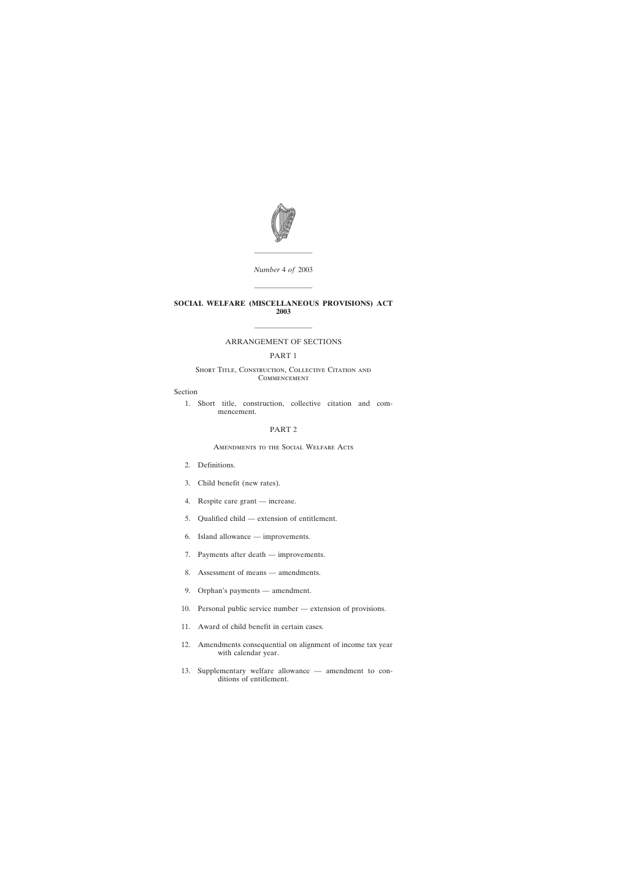

*Number* 4 *of* 2003

————————

————————

## **SOCIAL WELFARE (MISCELLANEOUS PROVISIONS) ACT 2003**

# ———————— ARRANGEMENT OF SECTIONS

## PART 1

## SHORT TITLE, CONSTRUCTION, COLLECTIVE CITATION AND **COMMENCEMENT**

### Section

[1. Short title, construction, collective citation and com](#page-2-0)[mencement.](#page-2-0)

## PART 2

### Amendments to the Social Welfare Acts

- [2. Definitions.](#page-2-0)
- [3. Child benefit \(new rates\).](#page-3-0)
- [4. Respite care grant increase.](#page-3-0)
- [5. Qualified child extension of entitlement.](#page-3-0)
- [6. Island allowance improvements.](#page-7-0)
- [7. Payments after death improvements.](#page-8-0)
- [8. Assessment of means amendments.](#page-9-0)
- [9. Orphan's payments amendment.](#page-11-0)
- [10. Personal public service number extension of provisions.](#page-11-0)
- [11. Award of child benefit in certain cases.](#page-12-0)
- [12. Amendments consequential on alignment of income tax year](#page-12-0) [with calendar year.](#page-12-0)
- [13. Supplementary welfare allowance amendment to con](#page-13-0)[ditions of entitlement.](#page-13-0)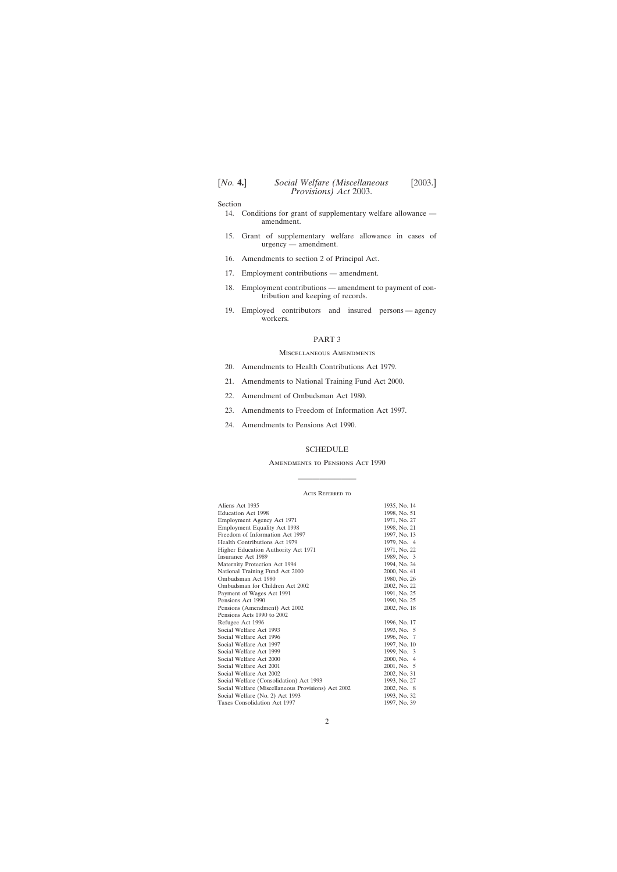Section

- [14. Conditions for grant of supplementary welfare allowance](#page-13-0)  [amendment.](#page-13-0)
- [15. Grant of supplementary welfare allowance in cases of](#page-14-0) [urgency — amendment.](#page-14-0)
- [16. Amendments to section 2 of Principal Act.](#page-14-0)
- [17. Employment contributions amendment.](#page-14-0)
- [18. Employment contributions amendment to payment of con](#page-14-0)[tribution and keeping of records.](#page-14-0)
- [19. Employed contributors and insured persons agency](#page-14-0) [workers.](#page-14-0)

### PART 3

### Miscellaneous Amendments

- [20. Amendments to Health Contributions Act 1979.](#page-15-0)
- [21. Amendments to National Training Fund Act 2000.](#page-16-0)
- [22. Amendment of Ombudsman Act 1980.](#page-17-0)
- [23. Amendments to Freedom of Information Act 1997.](#page-17-0)
- [24. Amendments to Pensions Act 1990.](#page-18-0)

### **[SCHEDULE](#page-19-0)**

### Amendments to Pensions Act 1990

# ———————— ACTS REFERRED TO

| Aliens Act 1935                                    | 1935, No. 14 |
|----------------------------------------------------|--------------|
| Education Act 1998                                 | 1998, No. 51 |
| Employment Agency Act 1971                         | 1971, No. 27 |
| <b>Employment Equality Act 1998</b>                | 1998, No. 21 |
| Freedom of Information Act 1997                    | 1997, No. 13 |
| Health Contributions Act 1979                      | 1979, No. 4  |
| Higher Education Authority Act 1971                | 1971, No. 22 |
| Insurance Act 1989                                 | 1989, No. 3  |
| Maternity Protection Act 1994                      | 1994, No. 34 |
| National Training Fund Act 2000                    | 2000, No. 41 |
| Ombudsman Act 1980                                 | 1980, No. 26 |
| Ombudsman for Children Act 2002                    | 2002, No. 22 |
| Payment of Wages Act 1991                          | 1991, No. 25 |
| Pensions Act 1990                                  | 1990, No. 25 |
| Pensions (Amendment) Act 2002                      | 2002, No. 18 |
| Pensions Acts 1990 to 2002                         |              |
| Refugee Act 1996                                   | 1996, No. 17 |
| Social Welfare Act 1993                            | 1993, No. 5  |
| Social Welfare Act 1996                            | 1996, No. 7  |
| Social Welfare Act 1997                            | 1997, No. 10 |
| Social Welfare Act 1999                            | 1999, No. 3  |
| Social Welfare Act 2000                            | 2000, No. 4  |
| Social Welfare Act 2001                            | 2001, No. 5  |
| Social Welfare Act 2002                            | 2002, No. 31 |
| Social Welfare (Consolidation) Act 1993            | 1993, No. 27 |
| Social Welfare (Miscellaneous Provisions) Act 2002 | 2002, No. 8  |
| Social Welfare (No. 2) Act 1993                    | 1993, No. 32 |
| Taxes Consolidation Act 1997                       | 1997, No. 39 |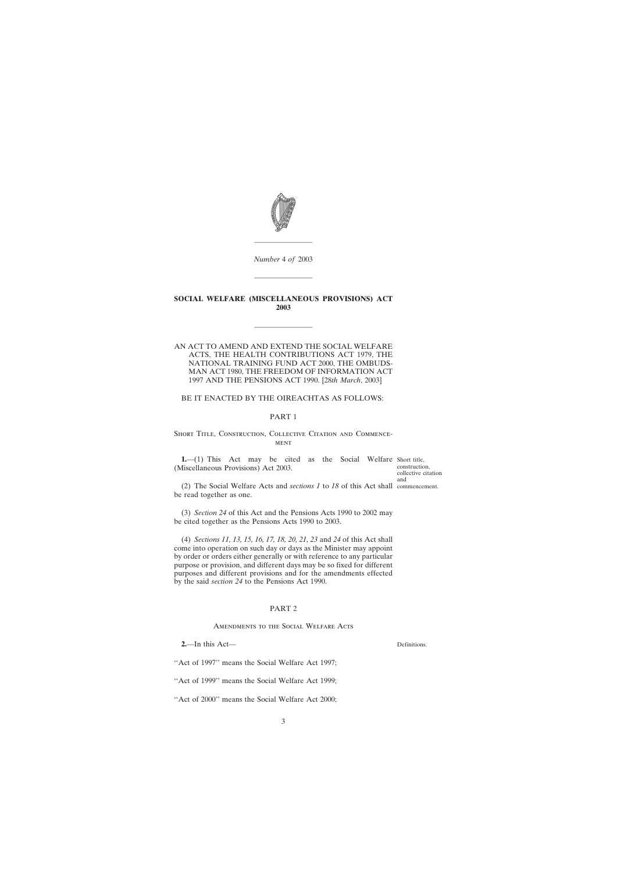<span id="page-2-0"></span>

*Number* 4 *of* 2003

————————

————————

## **SOCIAL WELFARE (MISCELLANEOUS PROVISIONS) ACT 2003**

————————

## AN ACT TO AMEND AND EXTEND THE SOCIAL WELFARE ACTS, THE HEALTH CONTRIBUTIONS ACT 1979, THE NATIONAL TRAINING FUND ACT 2000, THE OMBUDS-MAN ACT 1980, THE FREEDOM OF INFORMATION ACT 1997 AND THE PENSIONS ACT 1990. [28*th March*, 2003]

### BE IT ENACTED BY THE OIREACHTAS AS FOLLOWS:

### PART 1

SHORT TITLE, CONSTRUCTION, COLLECTIVE CITATION AND COMMENCE-**MENT** 

**1.**—(1) This Act may be cited as the Social Welfare Short title, (Miscellaneous Provisions) Act 2003.

construction, collective citation and

(2) The Social Welfare Acts and *sections 1* to *18* of this Act shall commencement. be read together as one.

(3) *Section 24* of this Act and the Pensions Acts 1990 to 2002 may be cited together as the Pensions Acts 1990 to 2003.

(4) *Sections 11, 13, 15, 16, 17, 18, 20, 21, 23* and *24* of this Act shall come into operation on such day or days as the Minister may appoint by order or orders either generally or with reference to any particular purpose or provision, and different days may be so fixed for different purposes and different provisions and for the amendments effected by the said *section 24* to the Pensions Act 1990.

### PART 2

Amendments to the Social Welfare Acts

**2.**—In this Act—

"Act of 1997" means the Social Welfare Act 1997;

''Act of 1999'' means the Social Welfare Act 1999;

''Act of 2000'' means the Social Welfare Act 2000;

Definitions.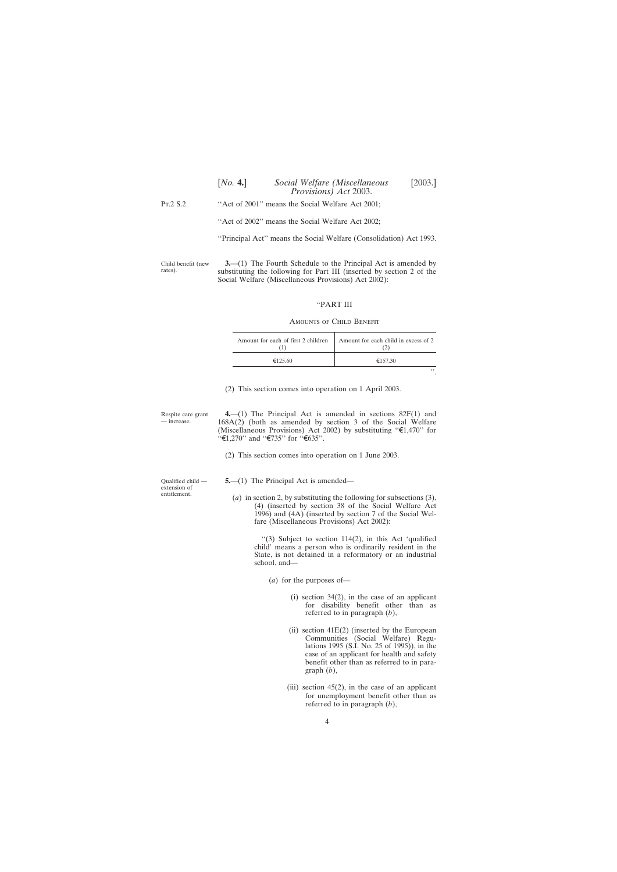<span id="page-3-0"></span>

|          | [2003.]<br>[No. 4.]<br>Social Welfare (Miscellaneous<br>Provisions) Act 2003. |
|----------|-------------------------------------------------------------------------------|
| Pr.2 S.2 | "Act of 2001" means the Social Welfare Act 2001;                              |
|          | "Act of 2002" means the Social Welfare Act 2002;                              |
|          | "Principal Act" means the Social Welfare (Consolidation) Act 1993.            |
|          |                                                                               |

Child benefit (new rates). **3.**—(1) The Fourth Schedule to the Principal Act is amended by substituting the following for Part III (inserted by section 2 of the Social Welfare (Miscellaneous Provisions) Act 2002):

### ''PART III

### Amounts of Child Benefit

| Amount for each of first 2 children | Amount for each child in excess of 2 |
|-------------------------------------|--------------------------------------|
| €125.60                             | €157.30                              |
|                                     |                                      |

(2) This section comes into operation on 1 April 2003.

Respite care grant — increase.

**4.**—(1) The Principal Act is amended in sections 82F(1) and 168A(2) (both as amended by section 3 of the Social Welfare (Miscellaneous Provisions) Act 2002) by substituting " $\epsilon$ 1,470" for  $\cdot$  €1,270'' and  $\cdot$  €735'' for  $\cdot$  €635''.

(2) This section comes into operation on 1 June 2003.

Qualified child extension of entitlement.

**5.**—(1) The Principal Act is amended—

(*a*) in section 2, by substituting the following for subsections (3), (4) (inserted by section 38 of the Social Welfare Act 1996) and (4A) (inserted by section 7 of the Social Welfare (Miscellaneous Provisions) Act 2002):

> ''(3) Subject to section 114(2), in this Act 'qualified child' means a person who is ordinarily resident in the State, is not detained in a reformatory or an industrial school, and—

(*a*) for the purposes of—

- (i) section 34(2), in the case of an applicant for disability benefit other than as referred to in paragraph (*b*),
- (ii) section  $41E(2)$  (inserted by the European Communities (Social Welfare) Regulations 1995 (S.I. No. 25 of 1995)), in the case of an applicant for health and safety benefit other than as referred to in paragraph (*b*),
- (iii) section  $45(2)$ , in the case of an applicant for unemployment benefit other than as referred to in paragraph (*b*),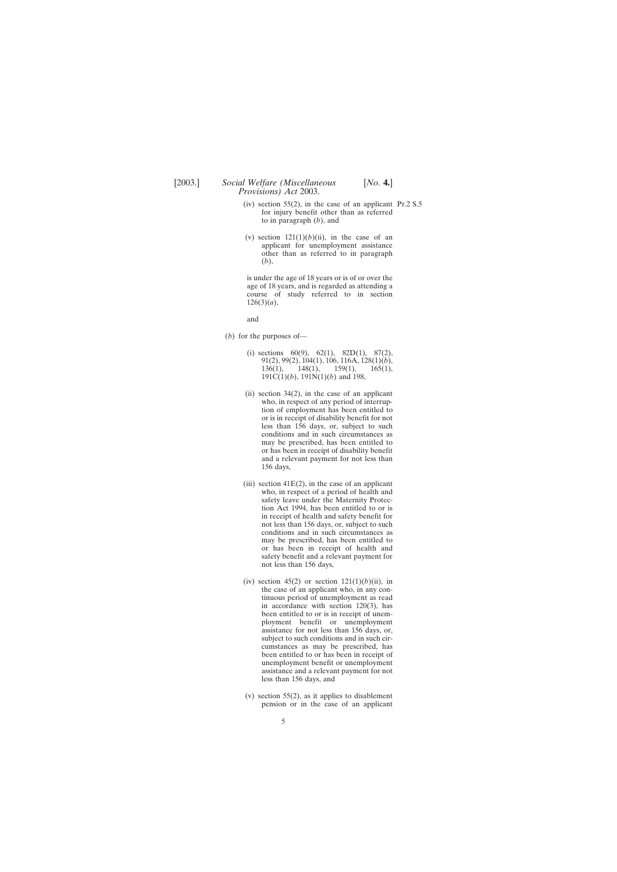- (iv) section 55(2), in the case of an applicant Pt.2  $S$ .5 for injury benefit other than as referred to in paragraph (*b*), and
- (v) section  $121(1)(b)(ii)$ , in the case of an applicant for unemployment assistance other than as referred to in paragraph (*b*),

is under the age of 18 years or is of or over the age of 18 years, and is regarded as attending a course of study referred to in section 126(3)(*a*),

and

- (*b*) for the purposes of—
	- (i) sections  $60(9)$ ,  $62(1)$ ,  $82D(1)$ ,  $87(2)$ , 91(2), 99(2), 104(1), 106, 116A, 128(1)(*b*), 136(1), 148(1), 159(1), 165(1), 191C(1)(*b*), 191N(1)(*b*) and 198,
	- (ii) section  $34(2)$ , in the case of an applicant who, in respect of any period of interruption of employment has been entitled to or is in receipt of disability benefit for not less than 156 days, or, subject to such conditions and in such circumstances as may be prescribed, has been entitled to or has been in receipt of disability benefit and a relevant payment for not less than 156 days,
	- (iii) section  $41E(2)$ , in the case of an applicant who, in respect of a period of health and safety leave under the Maternity Protection Act 1994, has been entitled to or is in receipt of health and safety benefit for not less than 156 days, or, subject to such conditions and in such circumstances as may be prescribed, has been entitled to or has been in receipt of health and safety benefit and a relevant payment for not less than 156 days,
	- (iv) section  $45(2)$  or section  $121(1)(b)(ii)$ , in the case of an applicant who, in any continuous period of unemployment as read in accordance with section 120(3), has been entitled to or is in receipt of unemployment benefit or unemployment assistance for not less than 156 days, or, subject to such conditions and in such circumstances as may be prescribed, has been entitled to or has been in receipt of unemployment benefit or unemployment assistance and a relevant payment for not less than 156 days, and
	- (v) section 55(2), as it applies to disablement pension or in the case of an applicant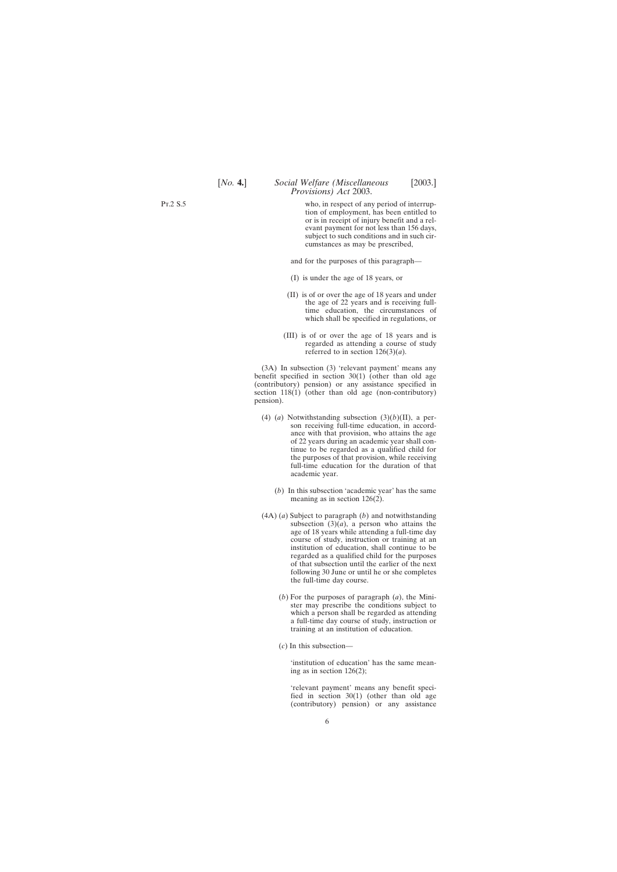## [*No.* **4.**] *Social Welfare (Miscellaneous* [2003.] *Provisions) Act* 2003.

who, in respect of any period of interruption of employment, has been entitled to or is in receipt of injury benefit and a relevant payment for not less than 156 days, subject to such conditions and in such circumstances as may be prescribed,

and for the purposes of this paragraph—

- (I) is under the age of 18 years, or
- (II) is of or over the age of 18 years and under the age of 22 years and is receiving fulltime education, the circumstances of which shall be specified in regulations, or
- (III) is of or over the age of 18 years and is regarded as attending a course of study referred to in section  $126(3)(a)$ .

(3A) In subsection (3) 'relevant payment' means any benefit specified in section 30(1) (other than old age (contributory) pension) or any assistance specified in section 118(1) (other than old age (non-contributory) pension).

- (4) (*a*) Notwithstanding subsection (3)(*b*)(II), a person receiving full-time education, in accordance with that provision, who attains the age of 22 years during an academic year shall continue to be regarded as a qualified child for the purposes of that provision, while receiving full-time education for the duration of that academic year.
	- (*b*) In this subsection 'academic year' has the same meaning as in section 126(2).
- (4A) (*a*) Subject to paragraph (*b*) and notwithstanding subsection  $(3)(a)$ , a person who attains the age of 18 years while attending a full-time day course of study, instruction or training at an institution of education, shall continue to be regarded as a qualified child for the purposes of that subsection until the earlier of the next following 30 June or until he or she completes the full-time day course.
	- (*b*) For the purposes of paragraph (*a*), the Minister may prescribe the conditions subject to which a person shall be regarded as attending a full-time day course of study, instruction or training at an institution of education.
	- (*c*) In this subsection—

'institution of education' has the same meaning as in section 126(2);

'relevant payment' means any benefit specified in section 30(1) (other than old age (contributory) pension) or any assistance

Pt.2 S.5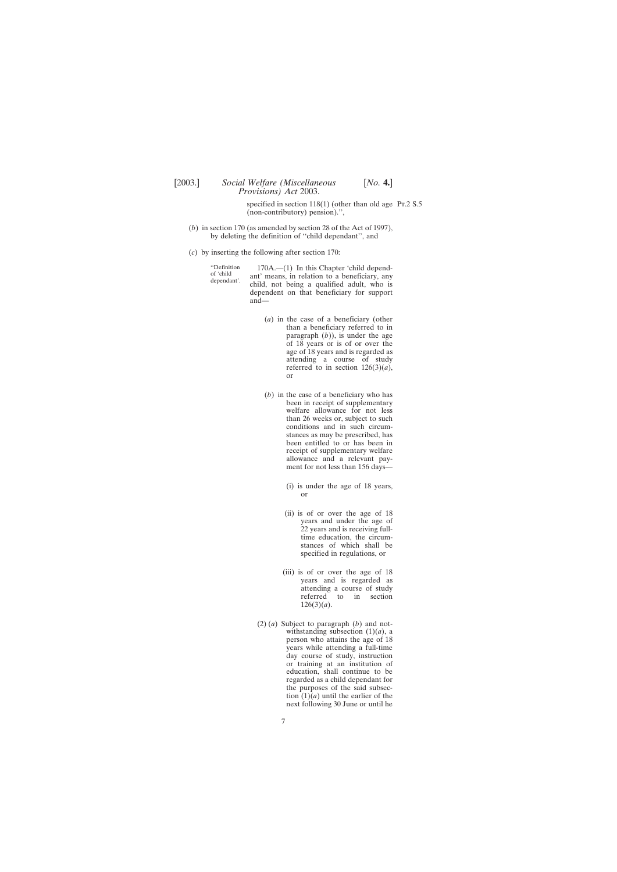specified in section  $118(1)$  (other than old age Pr.2 S.5) (non-contributory) pension).'',

- (*b*) in section 170 (as amended by section 28 of the Act of 1997), by deleting the definition of ''child dependant'', and
- (*c*) by inserting the following after section 170:

| "Definition<br>of 'child<br>dependant'. | $170A$ .— $(1)$ In this Chapter 'child depend-<br>ant' means, in relation to a beneficiary, any<br>child, not being a qualified adult, who is<br>dependent on that beneficiary for support<br>$and$ — |
|-----------------------------------------|-------------------------------------------------------------------------------------------------------------------------------------------------------------------------------------------------------|
|                                         |                                                                                                                                                                                                       |

- (*a*) in the case of a beneficiary (other than a beneficiary referred to in paragraph  $(b)$ ), is under the age of 18 years or is of or over the age of 18 years and is regarded as attending a course of study referred to in section  $126(3)(a)$ , or
- (*b*) in the case of a beneficiary who has been in receipt of supplementary welfare allowance for not less than 26 weeks or, subject to such conditions and in such circumstances as may be prescribed, has been entitled to or has been in receipt of supplementary welfare allowance and a relevant payment for not less than 156 days—
	- (i) is under the age of 18 years, or
	- (ii) is of or over the age of 18 years and under the age of 22 years and is receiving fulltime education, the circumstances of which shall be specified in regulations, or
	- (iii) is of or over the age of 18 years and is regarded as attending a course of study referred to in section 126(3)(*a*).
- (2) (*a*) Subject to paragraph (*b*) and notwithstanding subsection  $(1)(a)$ , a person who attains the age of 18 years while attending a full-time day course of study, instruction or training at an institution of education, shall continue to be regarded as a child dependant for the purposes of the said subsection (1)(*a*) until the earlier of the next following 30 June or until he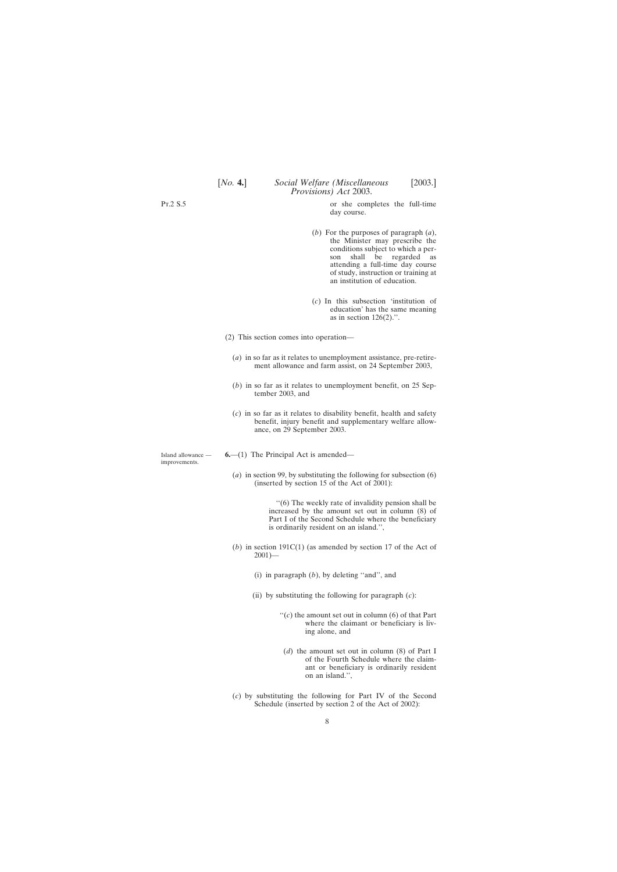<span id="page-7-0"></span>Pt.2 S.5

Island allowance improvements.

or she completes the full-time day course.

- (*b*) For the purposes of paragraph (*a*), the Minister may prescribe the conditions subject to which a person shall be regarded as attending a full-time day course of study, instruction or training at an institution of education.
- (*c*) In this subsection 'institution of education' has the same meaning as in section  $126(2)$ .".
- (2) This section comes into operation—
	- (*a*) in so far as it relates to unemployment assistance, pre-retirement allowance and farm assist, on 24 September 2003,
	- (*b*) in so far as it relates to unemployment benefit, on 25 September 2003, and
	- (*c*) in so far as it relates to disability benefit, health and safety benefit, injury benefit and supplementary welfare allowance, on 29 September 2003.

**6.**—(1) The Principal Act is amended—

(*a*) in section 99, by substituting the following for subsection (6) (inserted by section 15 of the Act of 2001):

> ''(6) The weekly rate of invalidity pension shall be increased by the amount set out in column (8) of Part I of the Second Schedule where the beneficiary is ordinarily resident on an island.'',

- (*b*) in section 191C(1) (as amended by section 17 of the Act of  $2001$ )—
	- (i) in paragraph (*b*), by deleting ''and'', and
	- (ii) by substituting the following for paragraph (*c*):
		- $f'(c)$  the amount set out in column (6) of that Part where the claimant or beneficiary is living alone, and
		- (*d*) the amount set out in column (8) of Part I of the Fourth Schedule where the claimant or beneficiary is ordinarily resident on an island.'',
- (*c*) by substituting the following for Part IV of the Second Schedule (inserted by section 2 of the Act of 2002):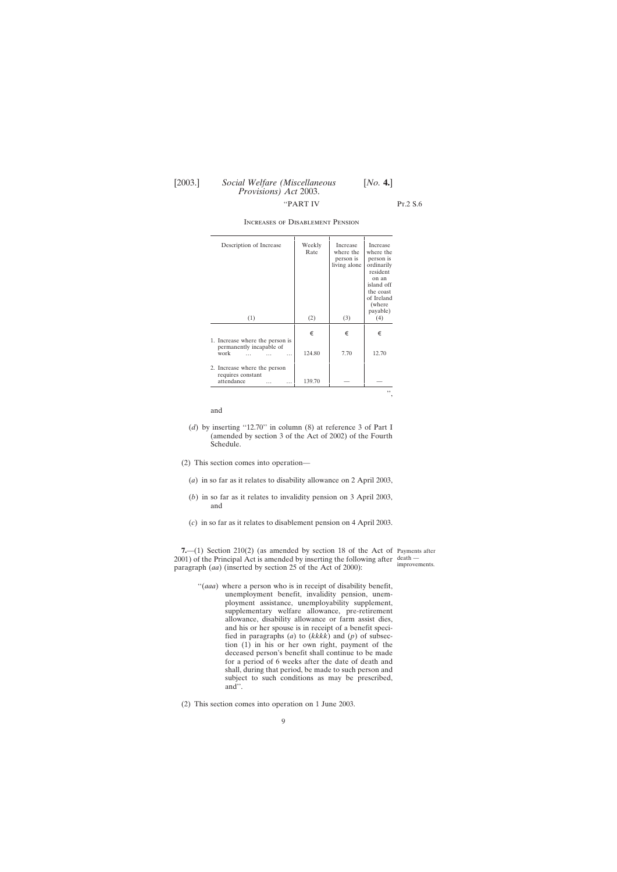## <span id="page-8-0"></span>[2003.] *Social Welfare (Miscellaneous* [*No.* **4.**] *Provisions) Act* 2003. ''PART IV Pt.2 S.6

| Description of Increase                                         | Weekly<br>Rate | Increase<br>where the<br>person is<br>living alone | Increase<br>where the<br>person is<br>ordinarily<br>resident<br>on an<br>island off<br>the coast<br>of Ireland<br>(where)<br>payable) |
|-----------------------------------------------------------------|----------------|----------------------------------------------------|---------------------------------------------------------------------------------------------------------------------------------------|
| (1)                                                             | (2)            | (3)                                                | (4)                                                                                                                                   |
| 1. Increase where the person is                                 | €              | €                                                  | €                                                                                                                                     |
| permanently incapable of<br>work<br>.                           | 124.80         | 7.70                                               | 12.70                                                                                                                                 |
| 2. Increase where the person<br>requires constant<br>attendance | 139.70         |                                                    |                                                                                                                                       |
|                                                                 |                |                                                    | ,,                                                                                                                                    |

### Increases of Disablement Pension

and

- (*d*) by inserting ''12.70'' in column (8) at reference 3 of Part I (amended by section 3 of the Act of 2002) of the Fourth Schedule.
- (2) This section comes into operation—
	- (*a*) in so far as it relates to disability allowance on 2 April 2003,
	- (*b*) in so far as it relates to invalidity pension on 3 April 2003, and
	- (*c*) in so far as it relates to disablement pension on 4 April 2003.

**7.**—(1) Section 210(2) (as amended by section 18 of the Act of Payments after  $2001$ ) of the Principal Act is amended by inserting the following after  $\frac{death -}{}$ paragraph (*aa*) (inserted by section 25 of the Act of 2000):

improvements.

- ''(*aaa*) where a person who is in receipt of disability benefit, unemployment benefit, invalidity pension, unemployment assistance, unemployability supplement, supplementary welfare allowance, pre-retirement allowance, disability allowance or farm assist dies, and his or her spouse is in receipt of a benefit specified in paragraphs (*a*) to (*kkkk*) and (*p*) of subsection (1) in his or her own right, payment of the deceased person's benefit shall continue to be made for a period of 6 weeks after the date of death and shall, during that period, be made to such person and subject to such conditions as may be prescribed, and''.
- (2) This section comes into operation on 1 June 2003.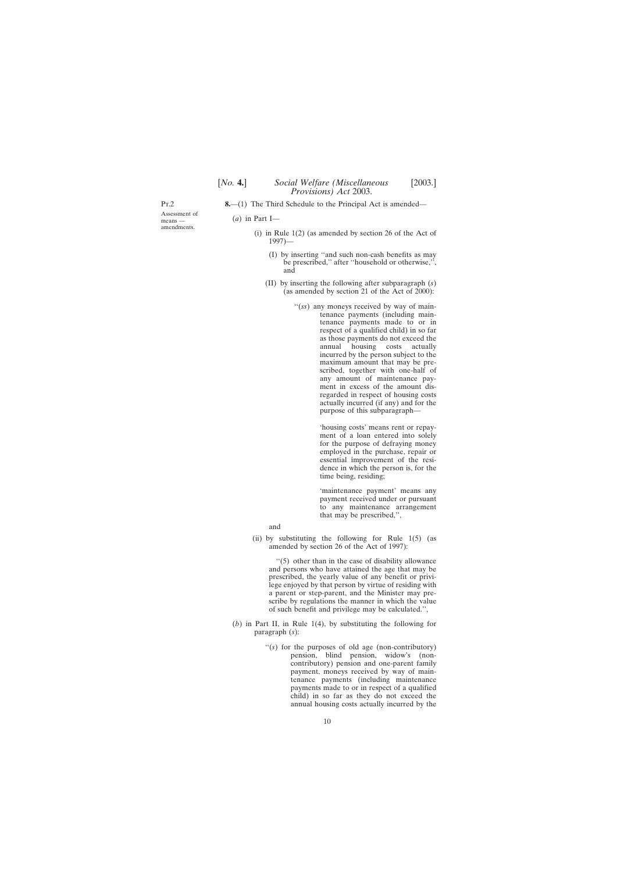<span id="page-9-0"></span>Pt.2

Assessment of means amendments.

- **8.**—(1) The Third Schedule to the Principal Act is amended—
	- (*a*) in Part I—
		- (i) in Rule 1(2) (as amended by section 26 of the Act of 1997)—
			- (I) by inserting ''and such non-cash benefits as may be prescribed,'' after ''household or otherwise,'', and
			- (II) by inserting the following after subparagraph (*s*) (as amended by section 21 of the Act of 2000):
				- ''(*ss*) any moneys received by way of maintenance payments (including maintenance payments made to or in respect of a qualified child) in so far as those payments do not exceed the<br>annual housing costs actually annual housing costs actually incurred by the person subject to the maximum amount that may be prescribed, together with one-half of any amount of maintenance payment in excess of the amount disregarded in respect of housing costs actually incurred (if any) and for the purpose of this subparagraph—

'housing costs' means rent or repayment of a loan entered into solely for the purpose of defraying money employed in the purchase, repair or essential improvement of the residence in which the person is, for the time being, residing;

'maintenance payment' means any payment received under or pursuant to any maintenance arrangement that may be prescribed,'',

and

(ii) by substituting the following for Rule  $1(5)$  (as amended by section 26 of the Act of 1997):

''(5) other than in the case of disability allowance and persons who have attained the age that may be prescribed, the yearly value of any benefit or privilege enjoyed by that person by virtue of residing with a parent or step-parent, and the Minister may prescribe by regulations the manner in which the value of such benefit and privilege may be calculated.'',

- (*b*) in Part II, in Rule 1(4), by substituting the following for paragraph (*s*):
	- "(s) for the purposes of old age (non-contributory) pension, blind pension, widow's (noncontributory) pension and one-parent family payment, moneys received by way of maintenance payments (including maintenance payments made to or in respect of a qualified child) in so far as they do not exceed the annual housing costs actually incurred by the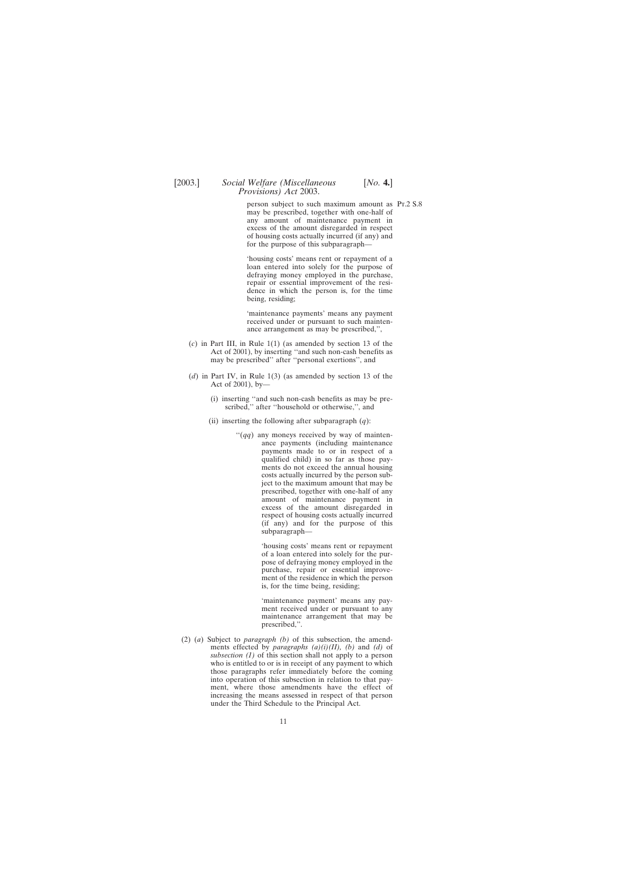## [2003.] *Social Welfare (Miscellaneous* [*No.* **4.**] *Provisions) Act* 2003.

person subject to such maximum amount as Pt.2 S.8 may be prescribed, together with one-half of any amount of maintenance payment in excess of the amount disregarded in respect of housing costs actually incurred (if any) and for the purpose of this subparagraph—

'housing costs' means rent or repayment of a loan entered into solely for the purpose of defraying money employed in the purchase, repair or essential improvement of the residence in which the person is, for the time being, residing;

'maintenance payments' means any payment received under or pursuant to such maintenance arrangement as may be prescribed,'',

- (*c*) in Part III, in Rule 1(1) (as amended by section 13 of the Act of 2001), by inserting ''and such non-cash benefits as may be prescribed'' after ''personal exertions'', and
- (*d*) in Part IV, in Rule 1(3) (as amended by section 13 of the Act of 2001), by—
	- (i) inserting ''and such non-cash benefits as may be prescribed,'' after ''household or otherwise,'', and
	- (ii) inserting the following after subparagraph  $(q)$ :
		- ''(*qq*) any moneys received by way of maintenance payments (including maintenance payments made to or in respect of a qualified child) in so far as those payments do not exceed the annual housing costs actually incurred by the person subject to the maximum amount that may be prescribed, together with one-half of any amount of maintenance payment in excess of the amount disregarded in respect of housing costs actually incurred (if any) and for the purpose of this subparagraph—

'housing costs' means rent or repayment of a loan entered into solely for the purpose of defraying money employed in the purchase, repair or essential improvement of the residence in which the person is, for the time being, residing;

'maintenance payment' means any payment received under or pursuant to any maintenance arrangement that may be prescribed,''.

(2) (*a*) Subject to *paragraph (b)* of this subsection, the amendments effected by *paragraphs (a)(i)(II), (b)* and *(d)* of *subsection (1)* of this section shall not apply to a person who is entitled to or is in receipt of any payment to which those paragraphs refer immediately before the coming into operation of this subsection in relation to that payment, where those amendments have the effect of increasing the means assessed in respect of that person under the Third Schedule to the Principal Act.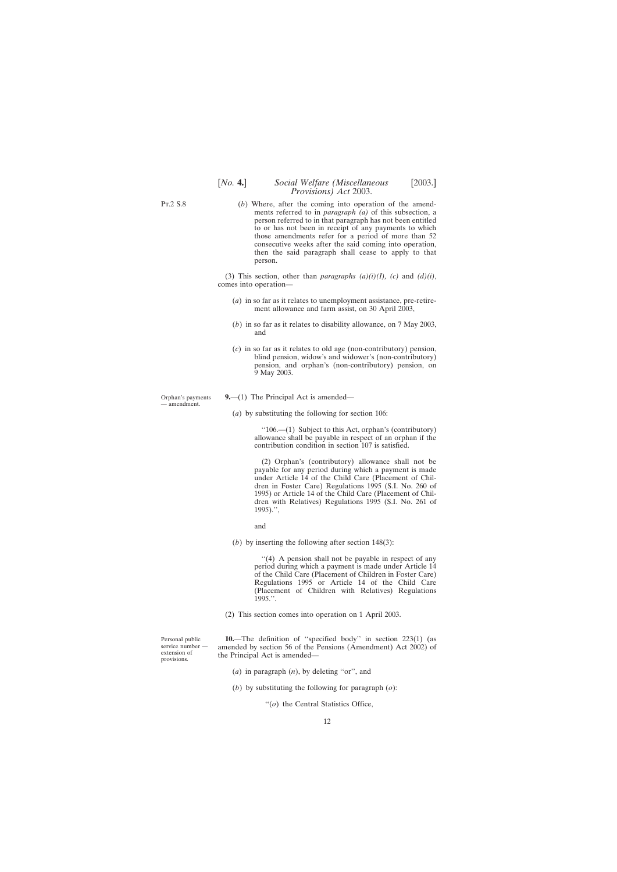## [*No.* **4.**] *Social Welfare (Miscellaneous* [2003.] *Provisions) Act* 2003.

(*b*) Where, after the coming into operation of the amendments referred to in *paragraph (a)* of this subsection, a person referred to in that paragraph has not been entitled to or has not been in receipt of any payments to which those amendments refer for a period of more than 52 consecutive weeks after the said coming into operation, then the said paragraph shall cease to apply to that person.

(3) This section, other than *paragraphs (a)(i)(I), (c)* and *(d)(i)*, comes into operation—

- (*a*) in so far as it relates to unemployment assistance, pre-retirement allowance and farm assist, on 30 April 2003,
- (*b*) in so far as it relates to disability allowance, on 7 May 2003, and
- (*c*) in so far as it relates to old age (non-contributory) pension, blind pension, widow's and widower's (non-contributory) pension, and orphan's (non-contributory) pension, on 9 May 2003.
- **9.**—(1) The Principal Act is amended—
	- (*a*) by substituting the following for section 106:

''106.—(1) Subject to this Act, orphan's (contributory) allowance shall be payable in respect of an orphan if the contribution condition in section 107 is satisfied.

(2) Orphan's (contributory) allowance shall not be payable for any period during which a payment is made under Article 14 of the Child Care (Placement of Children in Foster Care) Regulations 1995 (S.I. No. 260 of 1995) or Article 14 of the Child Care (Placement of Children with Relatives) Regulations 1995 (S.I. No. 261 of 1995).'',

and

(*b*) by inserting the following after section 148(3):

"(4) A pension shall not be payable in respect of any period during which a payment is made under Article 14 of the Child Care (Placement of Children in Foster Care) Regulations 1995 or Article 14 of the Child Care (Placement of Children with Relatives) Regulations 1995.''.

(2) This section comes into operation on 1 April 2003.

**10.**—The definition of ''specified body'' in section 223(1) (as amended by section 56 of the Pensions (Amendment) Act 2002) of the Principal Act is amended—

- (*a*) in paragraph (*n*), by deleting ''or'', and
- (*b*) by substituting the following for paragraph (*o*):
	- ''(*o*) the Central Statistics Office,

Personal public service number extension of provisions.

<span id="page-11-0"></span>Pt.2 S.8

Orphan's payments — amendment.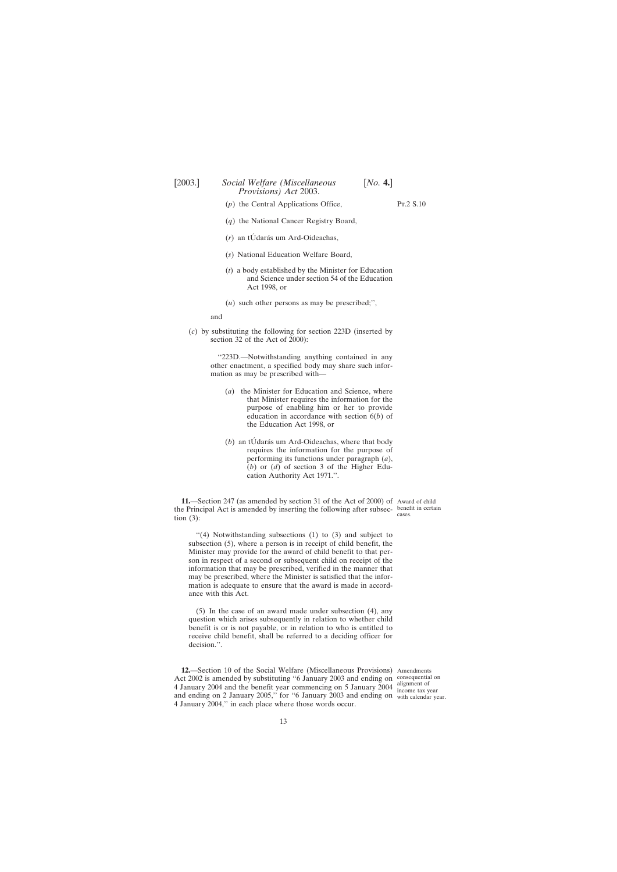- <span id="page-12-0"></span>(*p*) the Central Applications Office, PT.2 S.10
- (*q*) the National Cancer Registry Board,
- $(r)$  an tÚdarás um Ard-Oideachas,
- (*s*) National Education Welfare Board,
- (*t*) a body established by the Minister for Education and Science under section 54 of the Education Act 1998, or
- (*u*) such other persons as may be prescribed;'',

and

(*c*) by substituting the following for section 223D (inserted by section 32 of the Act of 2000):

> ''223D.—Notwithstanding anything contained in any other enactment, a specified body may share such information as may be prescribed with—

- (*a*) the Minister for Education and Science, where that Minister requires the information for the purpose of enabling him or her to provide education in accordance with section 6(*b*) of the Education Act 1998, or
- $(b)$  an tU $d$  darás um Ard-Oideachas, where that body requires the information for the purpose of performing its functions under paragraph (*a*), (*b*) or (*d*) of section 3 of the Higher Education Authority Act 1971.''.

**11.**—Section 247 (as amended by section 31 of the Act of 2000) of Award of child the Principal Act is amended by inserting the following after subsec-benefit in certain tion (3):

''(4) Notwithstanding subsections (1) to (3) and subject to subsection (5), where a person is in receipt of child benefit, the Minister may provide for the award of child benefit to that person in respect of a second or subsequent child on receipt of the information that may be prescribed, verified in the manner that may be prescribed, where the Minister is satisfied that the information is adequate to ensure that the award is made in accordance with this Act.

(5) In the case of an award made under subsection (4), any question which arises subsequently in relation to whether child benefit is or is not payable, or in relation to who is entitled to receive child benefit, shall be referred to a deciding officer for decision.''.

**12.**—Section 10 of the Social Welfare (Miscellaneous Provisions) Amendments Act 2002 is amended by substituting ''6 January 2003 and ending on consequential on 4 January 2004 and the benefit year commencing on 5 January 2004 alignment of and ending on 2 January 2005,'' for ''6 January 2003 and ending on with calendar year.4 January 2004,'' in each place where those words occur. income tax year

cases.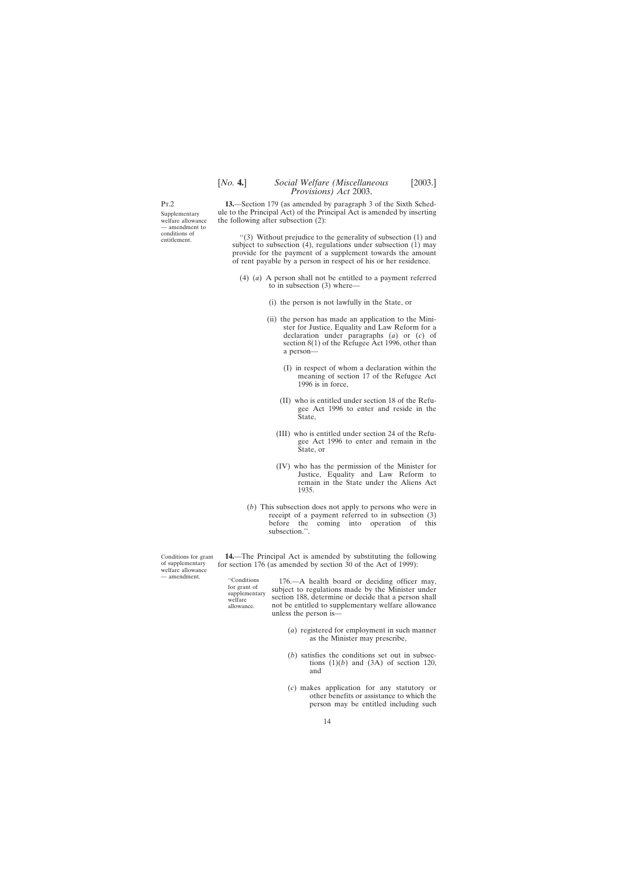## [*No.* **4.**] *Social Welfare (Miscellaneous* [2003.] *Provisions) Act* 2003.

<span id="page-13-0"></span>Pt.2

Supplementary welfare allowance — amendment to conditions of entitlement.

**13.**—Section 179 (as amended by paragraph 3 of the Sixth Schedule to the Principal Act) of the Principal Act is amended by inserting the following after subsection (2):

''(3) Without prejudice to the generality of subsection (1) and subject to subsection (4), regulations under subsection (1) may provide for the payment of a supplement towards the amount of rent payable by a person in respect of his or her residence.

- (4) (*a*) A person shall not be entitled to a payment referred to in subsection (3) where—
	- (i) the person is not lawfully in the State, or
	- (ii) the person has made an application to the Minister for Justice, Equality and Law Reform for a declaration under paragraphs (*a*) or (*c*) of section 8(1) of the Refugee Act 1996, other than a person—
		- (I) in respect of whom a declaration within the meaning of section 17 of the Refugee Act 1996 is in force,
		- (II) who is entitled under section 18 of the Refugee Act 1996 to enter and reside in the State,
		- (III) who is entitled under section 24 of the Refugee Act 1996 to enter and remain in the State, or
		- (IV) who has the permission of the Minister for Justice, Equality and Law Reform to remain in the State under the Aliens Act 1935.
	- (*b*) This subsection does not apply to persons who were in receipt of a payment referred to in subsection (3) before the coming into operation of this subsection.''.

**14.**—The Principal Act is amended by substituting the following for section 176 (as amended by section 30 of the Act of 1999):

"Conditions 176.—A health board or deciding officer may, for grant of subject to regulations made by the Minister under section 188, determine or decide that a person shall welfare allowance not be entitled to supplementar not be entitled to supplementary welfare allowance unless the person is—

- (*a*) registered for employment in such manner as the Minister may prescribe,
- (*b*) satisfies the conditions set out in subsections  $(1)(b)$  and  $(3A)$  of section 120, and
- (*c*) makes application for any statutory or other benefits or assistance to which the person may be entitled including such

Conditions for grant of supplementary welfare allowance — amendment.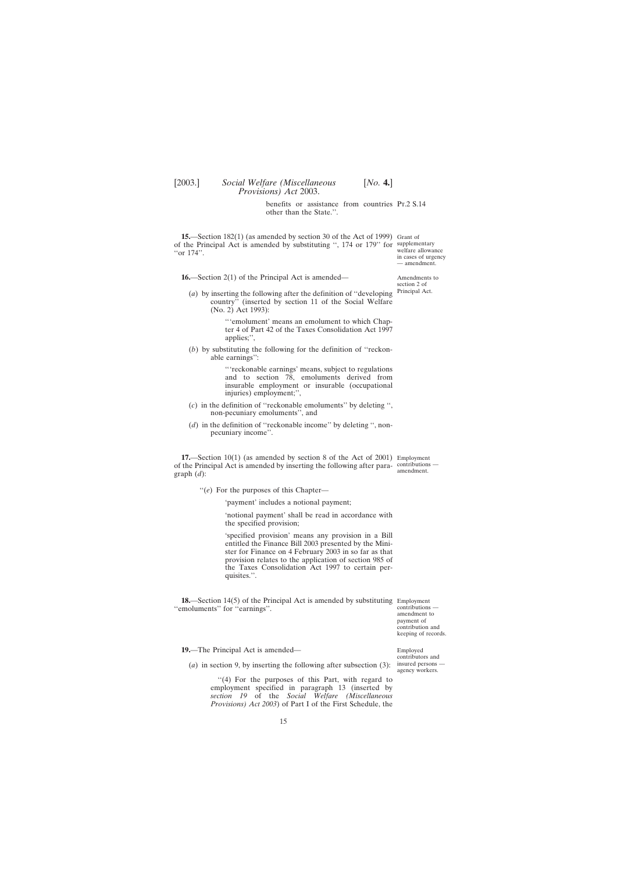benefits or assistance from countries Pr.2 S.14 other than the State.''.

<span id="page-14-0"></span>**15.**—Section 182(1) (as amended by section 30 of the Act of 1999) Grant of of the Principal Act is amended by substituting '', 174 or 179'' for supplementary "or 174".

**16.**—Section 2(1) of the Principal Act is amended—

(*a*) by inserting the following after the definition of ''developing country'' (inserted by section 11 of the Social Welfare (No. 2) Act 1993):

> '''emolument' means an emolument to which Chapter 4 of Part 42 of the Taxes Consolidation Act 1997 applies;'',

(*b*) by substituting the following for the definition of ''reckonable earnings'':

> '''reckonable earnings' means, subject to regulations and to section 78, emoluments derived from insurable employment or insurable (occupational injuries) employment;'',

- (*c*) in the definition of ''reckonable emoluments'' by deleting '', non-pecuniary emoluments'', and
- (*d*) in the definition of ''reckonable income'' by deleting '', nonpecuniary income''.

**17.**—Section 10(1) (as amended by section 8 of the Act of 2001) Employment of the Principal Act is amended by inserting the following after para-contributions graph (*d*):

''(*e*) For the purposes of this Chapter—

'payment' includes a notional payment;

'notional payment' shall be read in accordance with the specified provision;

'specified provision' means any provision in a Bill entitled the Finance Bill 2003 presented by the Minister for Finance on 4 February 2003 in so far as that provision relates to the application of section 985 of the Taxes Consolidation Act 1997 to certain perquisites.''.

**18.**—Section 14(5) of the Principal Act is amended by substituting Employment ''emoluments'' for ''earnings''.

contributions amendment to payment of contribution and keeping of records.

**19.**—The Principal Act is amended—

(*a*) in section 9, by inserting the following after subsection (3):

"(4) For the purposes of this Part, with regard to employment specified in paragraph 13 (inserted by *section 19* of the *Social Welfare (Miscellaneous Provisions) Act 2003*) of Part I of the First Schedule, the

welfare allowance in cases of urgency — amendment.

Amendments to section 2 of Principal Act.

amendment.

Employed contributors and insured persons —

agency workers.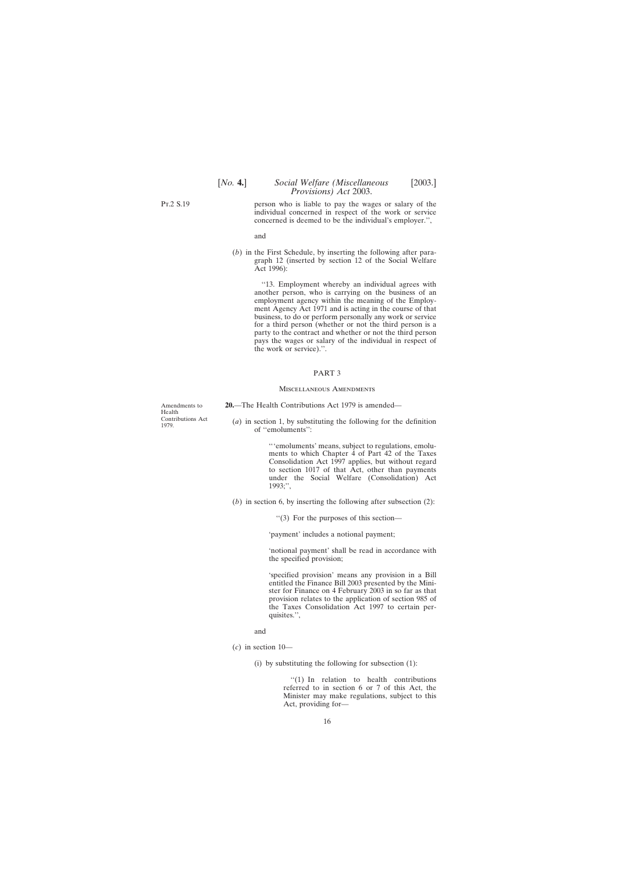<span id="page-15-0"></span>Pt.2 S.19

person who is liable to pay the wages or salary of the individual concerned in respect of the work or service concerned is deemed to be the individual's employer.'',

and

(*b*) in the First Schedule, by inserting the following after paragraph 12 (inserted by section 12 of the Social Welfare Act  $1996$ :

> ''13. Employment whereby an individual agrees with another person, who is carrying on the business of an employment agency within the meaning of the Employment Agency Act 1971 and is acting in the course of that business, to do or perform personally any work or service for a third person (whether or not the third person is a party to the contract and whether or not the third person pays the wages or salary of the individual in respect of the work or service).''.

### PART 3

### Miscellaneous Amendments

**20.**—The Health Contributions Act 1979 is amended—

Amendments to Health Contributions Act 1979.

(*a*) in section 1, by substituting the following for the definition of ''emoluments'':

> '''emoluments' means, subject to regulations, emoluments to which Chapter 4 of Part 42 of the Taxes Consolidation Act 1997 applies, but without regard to section 1017 of that Act, other than payments under the Social Welfare (Consolidation) Act 1993;'',

(*b*) in section 6, by inserting the following after subsection (2):

''(3) For the purposes of this section—

'payment' includes a notional payment;

'notional payment' shall be read in accordance with the specified provision;

'specified provision' means any provision in a Bill entitled the Finance Bill 2003 presented by the Minister for Finance on 4 February 2003 in so far as that provision relates to the application of section 985 of the Taxes Consolidation Act 1997 to certain perquisites.'',

and

- (*c*) in section 10—
	- (i) by substituting the following for subsection (1):

''(1) In relation to health contributions referred to in section 6 or 7 of this Act, the Minister may make regulations, subject to this Act, providing for—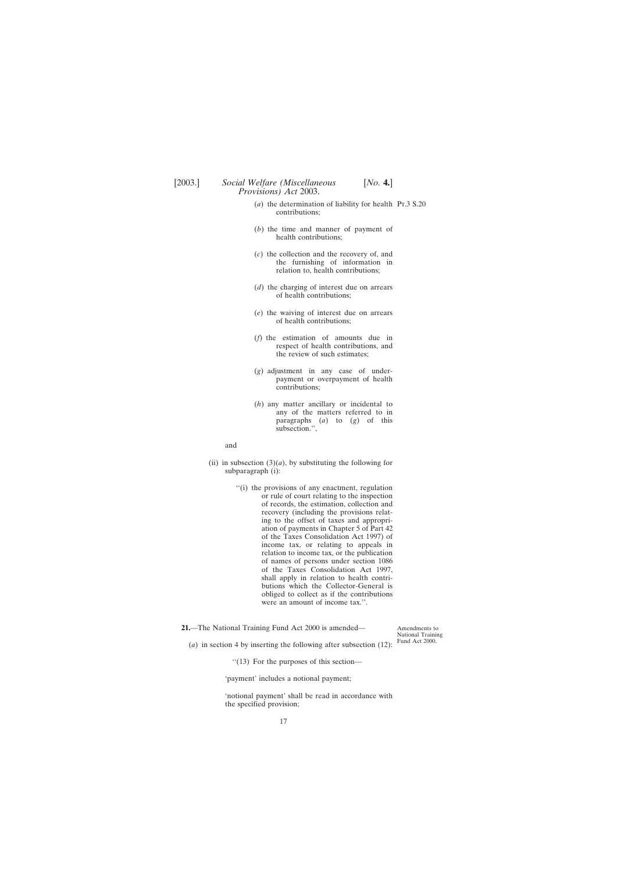- <span id="page-16-0"></span>(*a*) the determination of liability for health Pt.3 S.20 contributions;
- (*b*) the time and manner of payment of health contributions;
- (*c*) the collection and the recovery of, and the furnishing of information in relation to, health contributions;
- (*d*) the charging of interest due on arrears of health contributions;
- (*e*) the waiving of interest due on arrears of health contributions;
- (*f*) the estimation of amounts due in respect of health contributions, and the review of such estimates;
- (*g*) adjustment in any case of underpayment or overpayment of health contributions;
- (*h*) any matter ancillary or incidental to any of the matters referred to in paragraphs (*a*) to (*g*) of this subsection.'',

### and

- (ii) in subsection  $(3)(a)$ , by substituting the following for subparagraph (i):
	- ''(i) the provisions of any enactment, regulation or rule of court relating to the inspection of records, the estimation, collection and recovery (including the provisions relating to the offset of taxes and appropriation of payments in Chapter 5 of Part 42 of the Taxes Consolidation Act 1997) of income tax, or relating to appeals in relation to income tax, or the publication of names of persons under section 1086 of the Taxes Consolidation Act 1997, shall apply in relation to health contributions which the Collector-General is obliged to collect as if the contributions were an amount of income tax.''.

**21.**—The National Training Fund Act 2000 is amended—

Amendments to National Training Fund Act 2000.

(*a*) in section 4 by inserting the following after subsection (12):

''(13) For the purposes of this section—

'payment' includes a notional payment;

'notional payment' shall be read in accordance with the specified provision;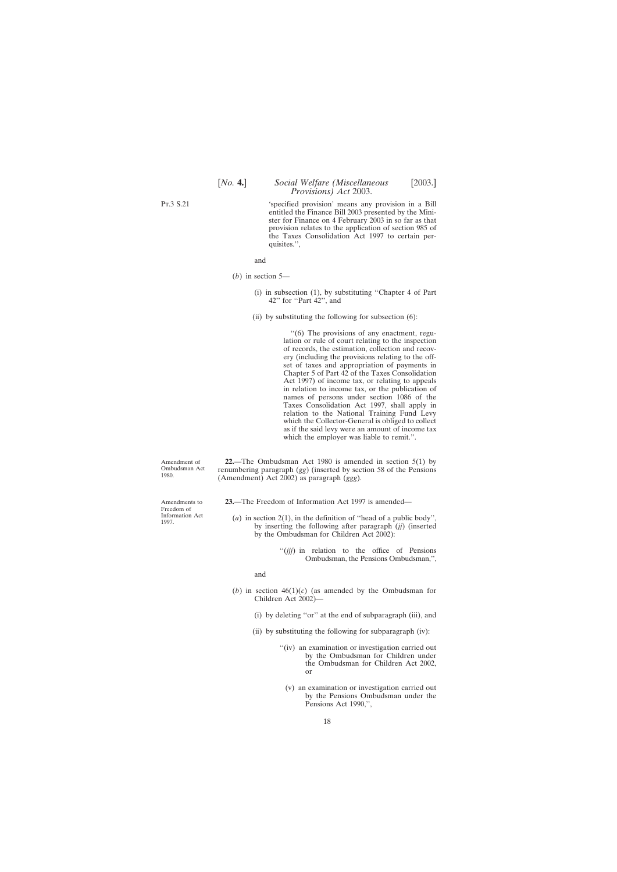'specified provision' means any provision in a Bill entitled the Finance Bill 2003 presented by the Minister for Finance on 4 February 2003 in so far as that provision relates to the application of section 985 of the Taxes Consolidation Act 1997 to certain perquisites.'',

(*b*) in section 5—

- (i) in subsection (1), by substituting ''Chapter 4 of Part 42'' for ''Part 42'', and
- (ii) by substituting the following for subsection (6):

''(6) The provisions of any enactment, regulation or rule of court relating to the inspection of records, the estimation, collection and recovery (including the provisions relating to the offset of taxes and appropriation of payments in Chapter 5 of Part 42 of the Taxes Consolidation Act 1997) of income tax, or relating to appeals in relation to income tax, or the publication of names of persons under section 1086 of the Taxes Consolidation Act 1997, shall apply in relation to the National Training Fund Levy which the Collector-General is obliged to collect as if the said levy were an amount of income tax which the employer was liable to remit.".

Amendment of Ombudsman Act 1980.

**22.**—The Ombudsman Act 1980 is amended in section 5(1) by renumbering paragraph (*gg*) (inserted by section 58 of the Pensions (Amendment) Act 2002) as paragraph (*ggg*).

**23.**—The Freedom of Information Act 1997 is amended—

(*a*) in section 2(1), in the definition of ''head of a public body'', by inserting the following after paragraph (*jj*) (inserted by the Ombudsman for Children Act 2002):

> ''(*jjj*) in relation to the office of Pensions Ombudsman, the Pensions Ombudsman,'',

and

- (*b*) in section  $46(1)(c)$  (as amended by the Ombudsman for Children Act 2002)—
	- (i) by deleting ''or'' at the end of subparagraph (iii), and
	- (ii) by substituting the following for subparagraph (iv):
		- "(iv) an examination or investigation carried out by the Ombudsman for Children under the Ombudsman for Children Act 2002, or
			- (v) an examination or investigation carried out by the Pensions Ombudsman under the Pensions Act 1990,'',

Amendments to Freedom of Information Act 1997.

<span id="page-17-0"></span>Pt.3 S.21

and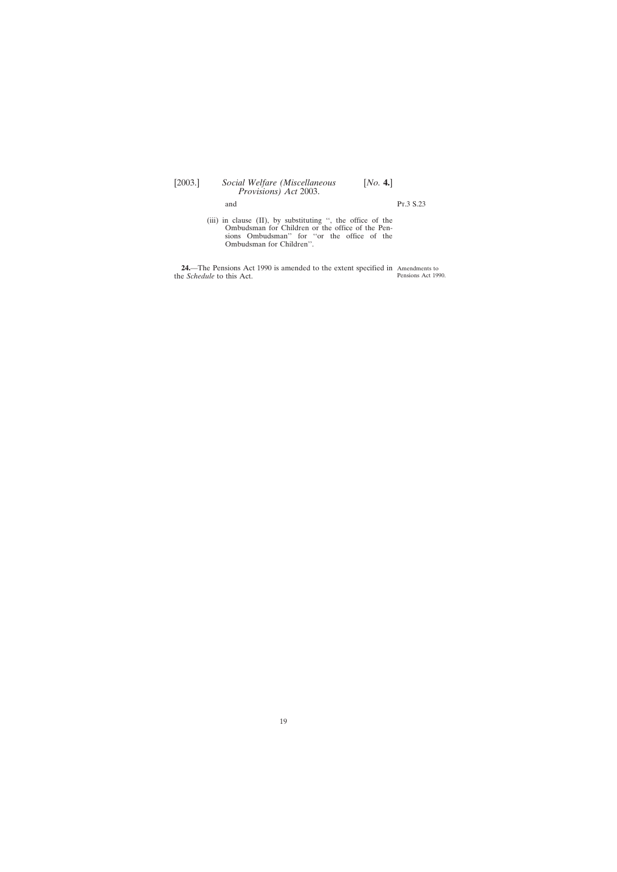# <span id="page-18-0"></span>[2003.] *Social Welfare (Miscellaneous* [*No.* **4.**] *Provisions) Act* 2003.

and Pr.3 S.23

(iii) in clause (II), by substituting '', the office of the Ombudsman for Children or the office of the Pensions Ombudsman'' for ''or the office of the Ombudsman for Children''.

**24.**—The Pensions Act 1990 is amended to the extent specified in Amendments to the *Schedule* to this Act. Pensions Act 1990.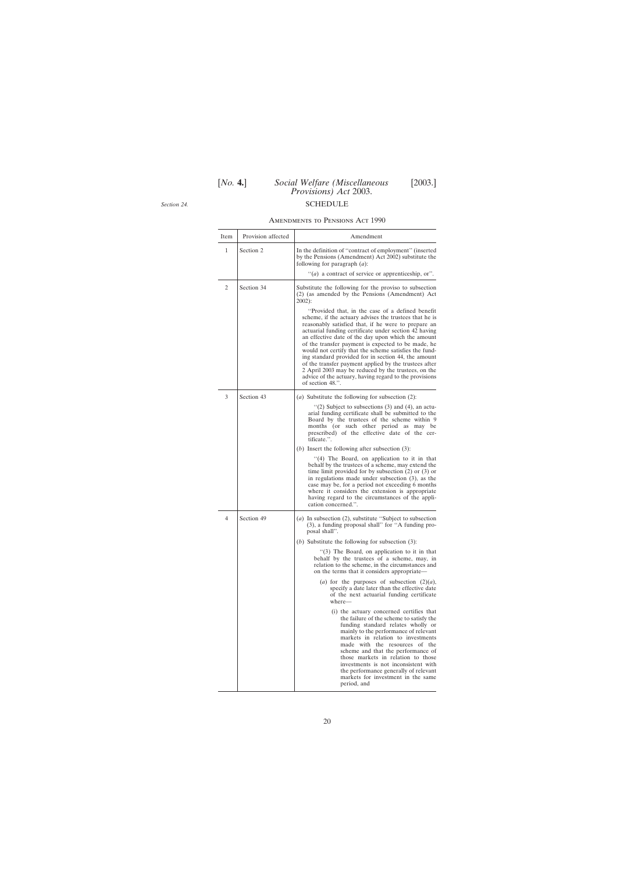# [*No.* **4.**] *Social Welfare (Miscellaneous* [2003.] *Provisions) Act* 2003. SCHEDULE

<span id="page-19-0"></span>*Section 24.*

## Amendments to Pensions Act 1990

| Item | Provision affected | Amendment                                                                                                                                                                                                                                                                                                                                                                                                                                                                                                                                                                                                                                            |
|------|--------------------|------------------------------------------------------------------------------------------------------------------------------------------------------------------------------------------------------------------------------------------------------------------------------------------------------------------------------------------------------------------------------------------------------------------------------------------------------------------------------------------------------------------------------------------------------------------------------------------------------------------------------------------------------|
| 1    | Section 2          | In the definition of "contract of employment" (inserted<br>by the Pensions (Amendment) Act 2002) substitute the<br>following for paragraph $(a)$ :                                                                                                                                                                                                                                                                                                                                                                                                                                                                                                   |
|      |                    | $\lq(a)$ a contract of service or apprenticeship, or".                                                                                                                                                                                                                                                                                                                                                                                                                                                                                                                                                                                               |
| 2    | Section 34         | Substitute the following for the proviso to subsection<br>(2) (as amended by the Pensions (Amendment) Act<br>$2002$ :                                                                                                                                                                                                                                                                                                                                                                                                                                                                                                                                |
|      |                    | "Provided that, in the case of a defined benefit<br>scheme, if the actuary advises the trustees that he is<br>reasonably satisfied that, if he were to prepare an<br>actuarial funding certificate under section 42 having<br>an effective date of the day upon which the amount<br>of the transfer payment is expected to be made, he<br>would not certify that the scheme satisfies the fund-<br>ing standard provided for in section 44, the amount<br>of the transfer payment applied by the trustees after<br>2 April 2003 may be reduced by the trustees, on the<br>advice of the actuary, having regard to the provisions<br>of section 48.". |
| 3    | Section 43         | ( <i>a</i> ) Substitute the following for subsection $(2)$ :                                                                                                                                                                                                                                                                                                                                                                                                                                                                                                                                                                                         |
|      |                    | "(2) Subject to subsections $(3)$ and $(4)$ , an actu-<br>arial funding certificate shall be submitted to the<br>Board by the trustees of the scheme within 9<br>months (or such other period as may be<br>prescribed) of the effective date of the cer-<br>tificate.".                                                                                                                                                                                                                                                                                                                                                                              |
|      |                    | $(b)$ Insert the following after subsection $(3)$ :                                                                                                                                                                                                                                                                                                                                                                                                                                                                                                                                                                                                  |
|      |                    | "(4) The Board, on application to it in that<br>behalf by the trustees of a scheme, may extend the<br>time limit provided for by subsection $(2)$ or $(3)$ or<br>in regulations made under subsection $(3)$ , as the<br>case may be, for a period not exceeding 6 months<br>where it considers the extension is appropriate<br>having regard to the circumstances of the appli-<br>cation concerned.".                                                                                                                                                                                                                                               |
| 4    | Section 49         | (a) In subsection $(2)$ , substitute "Subject to subsection<br>(3), a funding proposal shall" for "A funding pro-<br>posal shall".                                                                                                                                                                                                                                                                                                                                                                                                                                                                                                                   |
|      |                    | (b) Substitute the following for subsection $(3)$ :                                                                                                                                                                                                                                                                                                                                                                                                                                                                                                                                                                                                  |
|      |                    | "(3) The Board, on application to it in that<br>behalf by the trustees of a scheme, may, in<br>relation to the scheme, in the circumstances and<br>on the terms that it considers appropriate—                                                                                                                                                                                                                                                                                                                                                                                                                                                       |
|      |                    | (a) for the purposes of subsection $(2)(a)$ ,<br>specify a date later than the effective date<br>of the next actuarial funding certificate<br>where-                                                                                                                                                                                                                                                                                                                                                                                                                                                                                                 |
|      |                    | (i) the actuary concerned certifies that<br>the failure of the scheme to satisfy the<br>funding standard relates wholly or<br>mainly to the performance of relevant<br>markets in relation to investments<br>made with the resources of the<br>scheme and that the performance of<br>those markets in relation to those<br>investments is not inconsistent with<br>the performance generally of relevant<br>markets for investment in the same<br>period, and                                                                                                                                                                                        |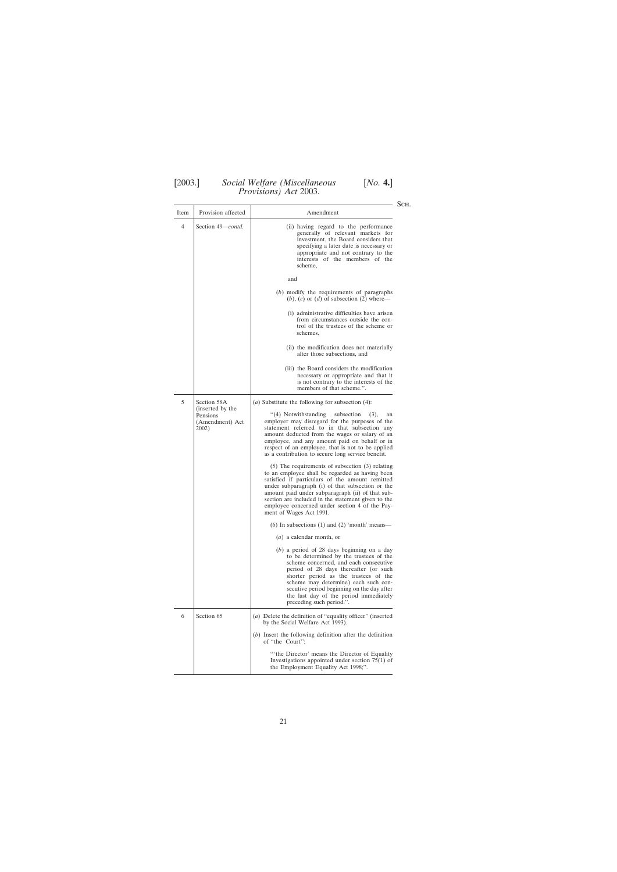## [2003.] *Social Welfare (Miscellaneous* [*No.* **4.**] *Provisions) Act* 2003.

| Item                                                     | Provision affected                                                                                                                                                                                                                                                                                                                                                              | Amendment                                                                                                                                                                                                                                                                                                                                                                                            |
|----------------------------------------------------------|---------------------------------------------------------------------------------------------------------------------------------------------------------------------------------------------------------------------------------------------------------------------------------------------------------------------------------------------------------------------------------|------------------------------------------------------------------------------------------------------------------------------------------------------------------------------------------------------------------------------------------------------------------------------------------------------------------------------------------------------------------------------------------------------|
| Section 49– <i>contd.</i><br>4                           | (ii) having regard to the performance<br>generally of relevant markets for<br>investment, the Board considers that<br>specifying a later date is necessary or<br>appropriate and not contrary to the<br>interests of the members of the<br>scheme,                                                                                                                              |                                                                                                                                                                                                                                                                                                                                                                                                      |
|                                                          |                                                                                                                                                                                                                                                                                                                                                                                 | and                                                                                                                                                                                                                                                                                                                                                                                                  |
|                                                          |                                                                                                                                                                                                                                                                                                                                                                                 | (b) modify the requirements of paragraphs<br>$(b)$ , $(c)$ or $(d)$ of subsection $(2)$ where—                                                                                                                                                                                                                                                                                                       |
|                                                          |                                                                                                                                                                                                                                                                                                                                                                                 | (i) administrative difficulties have arisen<br>from circumstances outside the con-<br>trol of the trustees of the scheme or<br>schemes,                                                                                                                                                                                                                                                              |
|                                                          |                                                                                                                                                                                                                                                                                                                                                                                 | (ii) the modification does not materially<br>alter those subsections, and                                                                                                                                                                                                                                                                                                                            |
|                                                          |                                                                                                                                                                                                                                                                                                                                                                                 | (iii) the Board considers the modification<br>necessary or appropriate and that it<br>is not contrary to the interests of the<br>members of that scheme.".                                                                                                                                                                                                                                           |
| 5                                                        | Section 58A                                                                                                                                                                                                                                                                                                                                                                     | ( <i>a</i> ) Substitute the following for subsection $(4)$ :                                                                                                                                                                                                                                                                                                                                         |
| (inserted by the<br>Pensions<br>(Amendment) Act<br>2002) | "(4) Notwithstanding<br>subsection<br>(3),<br>an<br>employer may disregard for the purposes of the<br>statement referred to in that subsection any<br>amount deducted from the wages or salary of an<br>employee, and any amount paid on behalf or in<br>respect of an employee, that is not to be applied<br>as a contribution to secure long service benefit.                 |                                                                                                                                                                                                                                                                                                                                                                                                      |
|                                                          |                                                                                                                                                                                                                                                                                                                                                                                 | $(5)$ The requirements of subsection $(3)$ relating<br>to an employee shall be regarded as having been<br>satisfied if particulars of the amount remitted<br>under subparagraph (i) of that subsection or the<br>amount paid under subparagraph (ii) of that sub-<br>section are included in the statement given to the<br>employee concerned under section 4 of the Pay-<br>ment of Wages Act 1991. |
|                                                          |                                                                                                                                                                                                                                                                                                                                                                                 | $(6)$ In subsections $(1)$ and $(2)$ 'month' means-                                                                                                                                                                                                                                                                                                                                                  |
|                                                          |                                                                                                                                                                                                                                                                                                                                                                                 | $(a)$ a calendar month, or                                                                                                                                                                                                                                                                                                                                                                           |
|                                                          | $(b)$ a period of 28 days beginning on a day<br>to be determined by the trustees of the<br>scheme concerned, and each consecutive<br>period of 28 days thereafter (or such<br>shorter period as the trustees of the<br>scheme may determine) each such con-<br>secutive period beginning on the day after<br>the last day of the period immediately<br>preceding such period.". |                                                                                                                                                                                                                                                                                                                                                                                                      |
| 6                                                        | Section 65                                                                                                                                                                                                                                                                                                                                                                      | (a) Delete the definition of "equality officer" (inserted<br>by the Social Welfare Act 1993).                                                                                                                                                                                                                                                                                                        |
|                                                          |                                                                                                                                                                                                                                                                                                                                                                                 | $(b)$ Insert the following definition after the definition<br>of "the Court":                                                                                                                                                                                                                                                                                                                        |
|                                                          | "the Director' means the Director of Equality<br>Investigations appointed under section $75(1)$ of<br>the Employment Equality Act 1998;".                                                                                                                                                                                                                                       |                                                                                                                                                                                                                                                                                                                                                                                                      |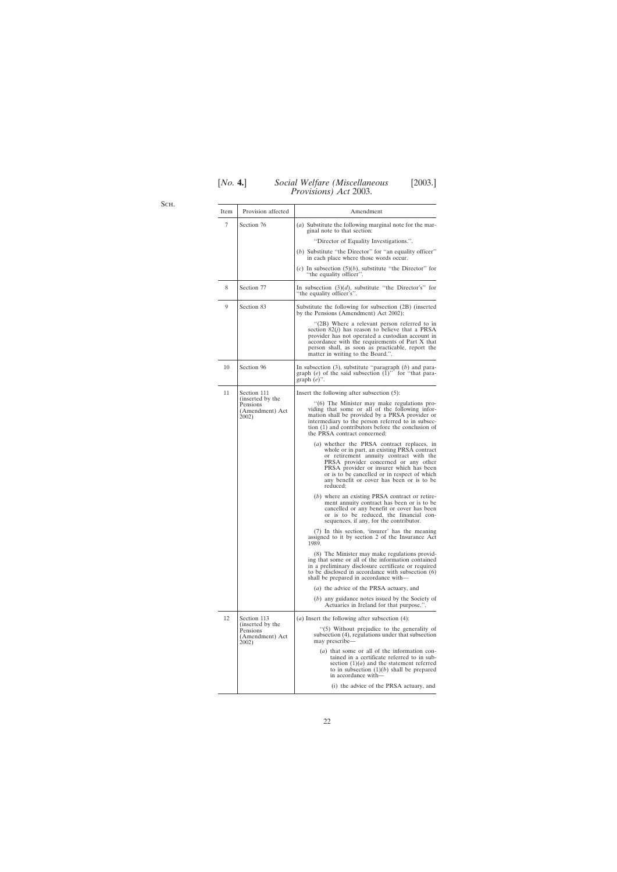| [ <i>No.</i> 4.] | Social Welfare (Miscellaneous        |  |
|------------------|--------------------------------------|--|
|                  | <i>Provisions</i> ) <i>Act</i> 2003. |  |

[*No.* **4.**] *Social Welfare (Miscellaneous* [2003.]

Sch.

| Item | Provision affected                                       | Amendment                                                                                                                                                                                                                                                                                                                        |
|------|----------------------------------------------------------|----------------------------------------------------------------------------------------------------------------------------------------------------------------------------------------------------------------------------------------------------------------------------------------------------------------------------------|
| 7    | Section 76                                               | (a) Substitute the following marginal note for the mar-<br>ginal note to that section:                                                                                                                                                                                                                                           |
|      |                                                          | "Director of Equality Investigations.".                                                                                                                                                                                                                                                                                          |
|      |                                                          | (b) Substitute "the Director" for "an equality officer"<br>in each place where those words occur.                                                                                                                                                                                                                                |
|      |                                                          | (c) In subsection $(5)(b)$ , substitute "the Director" for<br>"the equality officer".                                                                                                                                                                                                                                            |
| 8    | Section 77                                               | In subsection $(3)(d)$ , substitute "the Director's" for<br>"the equality officer's".                                                                                                                                                                                                                                            |
| 9    | Section 83                                               | Substitute the following for subsection (2B) (inserted<br>by the Pensions (Amendment) Act 2002):                                                                                                                                                                                                                                 |
|      |                                                          | "(2B) Where a relevant person referred to in<br>section $82(j)$ has reason to believe that a PRSA<br>provider has not operated a custodian account in<br>accordance with the requirements of Part X that<br>person shall, as soon as practicable, report the<br>matter in writing to the Board.".                                |
| 10   | Section 96                                               | In subsection $(3)$ , substitute "paragraph $(b)$ and para-<br>graph (e) of the said subsection $(\tilde{1})$ " for "that para-<br>graph $(e)$ ".                                                                                                                                                                                |
| 11   | Section 111                                              | Insert the following after subsection (5):                                                                                                                                                                                                                                                                                       |
|      | (inserted by the<br>Pensions<br>(Amendment) Act<br>2002) | "(6) The Minister may make regulations pro-<br>viding that some or all of the following infor-<br>mation shall be provided by a PRSA provider or<br>intermediary to the person referred to in subsec-<br>tion (1) and contributors before the conclusion of<br>the PRSA contract concerned:                                      |
|      |                                                          | (a) whether the PRSA contract replaces, in<br>whole or in part, an existing PRSA contract<br>or retirement annuity contract with the<br>PRSA provider concerned or any other<br>PRSA provider or insurer which has been<br>or is to be cancelled or in respect of which<br>any benefit or cover has been or is to be<br>reduced; |
|      |                                                          | (b) where an existing PRSA contract or retire-<br>ment annuity contract has been or is to be<br>cancelled or any benefit or cover has been<br>or is to be reduced, the financial con-<br>sequences, if any, for the contributor.                                                                                                 |
|      |                                                          | (7) In this section, 'insurer' has the meaning<br>assigned to it by section 2 of the Insurance Act<br>1989.                                                                                                                                                                                                                      |
|      |                                                          | (8) The Minister may make regulations provid-<br>ing that some or all of the information contained<br>in a preliminary disclosure certificate or required<br>to be disclosed in accordance with subsection (6)<br>shall be prepared in accordance with—                                                                          |
|      |                                                          | (a) the advice of the PRSA actuary, and                                                                                                                                                                                                                                                                                          |
|      |                                                          | (b) any guidance notes issued by the Society of<br>Actuaries in Ireland for that purpose.".                                                                                                                                                                                                                                      |
| 12   | Section 113                                              | ( <i>a</i> ) Insert the following after subsection $(4)$ :                                                                                                                                                                                                                                                                       |
|      | (inserted by the<br>Pensions<br>(Amendment) Act<br>2002) | "(5) Without prejudice to the generality of<br>subsection (4), regulations under that subsection<br>may prescribe-                                                                                                                                                                                                               |
|      |                                                          | (a) that some or all of the information con-<br>tained in a certificate referred to in sub-<br>section $(1)(a)$ and the statement referred<br>to in subsection $(1)(b)$ shall be prepared<br>in accordance with—                                                                                                                 |
|      |                                                          | (i) the advice of the PRSA actuary, and                                                                                                                                                                                                                                                                                          |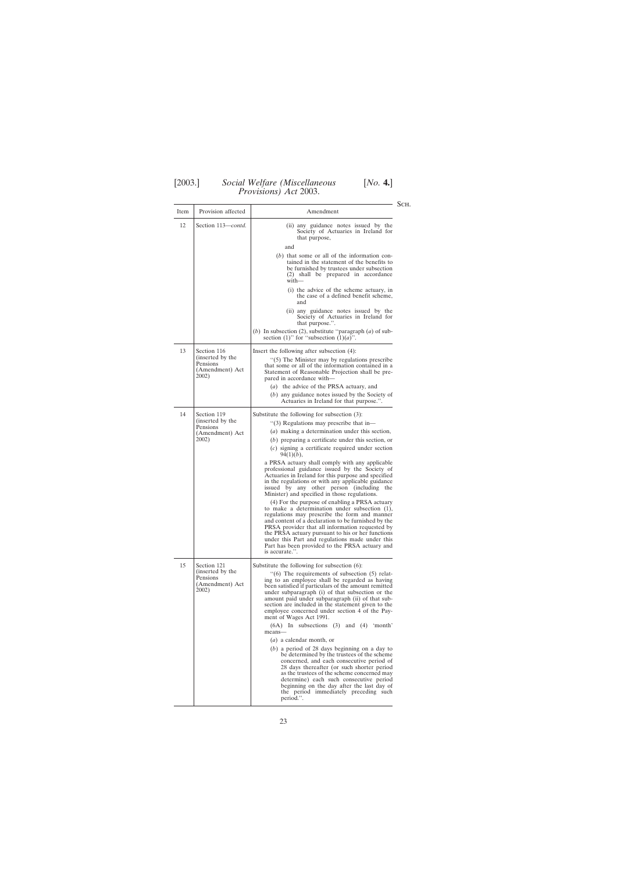## [2003.] *Social Welfare (Miscellaneous* [*No.* **4.**] *Provisions) Act* 2003.

| Item | Provision affected                                                      | Amendment                                                                                                                                                                                                                                                                                                                                                                                                                                                                                                                                                                                                                                                                                                                                                                                                                                                                                                                                                                                                                   |
|------|-------------------------------------------------------------------------|-----------------------------------------------------------------------------------------------------------------------------------------------------------------------------------------------------------------------------------------------------------------------------------------------------------------------------------------------------------------------------------------------------------------------------------------------------------------------------------------------------------------------------------------------------------------------------------------------------------------------------------------------------------------------------------------------------------------------------------------------------------------------------------------------------------------------------------------------------------------------------------------------------------------------------------------------------------------------------------------------------------------------------|
| 12   | Section 113-contd.                                                      | (ii) any guidance notes issued by the<br>Society of Actuaries in Ireland for<br>that purpose,<br>and                                                                                                                                                                                                                                                                                                                                                                                                                                                                                                                                                                                                                                                                                                                                                                                                                                                                                                                        |
|      |                                                                         | $(b)$ that some or all of the information con-<br>tained in the statement of the benefits to<br>be furnished by trustees under subsection<br>(2) shall be prepared in accordance<br>with—                                                                                                                                                                                                                                                                                                                                                                                                                                                                                                                                                                                                                                                                                                                                                                                                                                   |
|      |                                                                         | (i) the advice of the scheme actuary, in<br>the case of a defined benefit scheme,<br>and                                                                                                                                                                                                                                                                                                                                                                                                                                                                                                                                                                                                                                                                                                                                                                                                                                                                                                                                    |
|      |                                                                         | (ii) any guidance notes issued by the<br>Society of Actuaries in Ireland for<br>that purpose.".                                                                                                                                                                                                                                                                                                                                                                                                                                                                                                                                                                                                                                                                                                                                                                                                                                                                                                                             |
|      |                                                                         | (b) In subsection (2), substitute "paragraph $(a)$ of sub-<br>section (1)" for "subsection (1)( <i>a</i> )".                                                                                                                                                                                                                                                                                                                                                                                                                                                                                                                                                                                                                                                                                                                                                                                                                                                                                                                |
| 13   | Section 116                                                             | Insert the following after subsection (4):                                                                                                                                                                                                                                                                                                                                                                                                                                                                                                                                                                                                                                                                                                                                                                                                                                                                                                                                                                                  |
|      | (inserted by the<br>Pensions<br>(Amendment) Act<br>2002)                | $\cdot$ (5) The Minister may by regulations prescribe<br>that some or all of the information contained in a<br>Statement of Reasonable Projection shall be pre-<br>pared in accordance with—                                                                                                                                                                                                                                                                                                                                                                                                                                                                                                                                                                                                                                                                                                                                                                                                                                |
|      |                                                                         | (a) the advice of the PRSA actuary, and<br>(b) any guidance notes issued by the Society of<br>Actuaries in Ireland for that purpose.".                                                                                                                                                                                                                                                                                                                                                                                                                                                                                                                                                                                                                                                                                                                                                                                                                                                                                      |
| 14   | Section 119<br>(inserted by the<br>Pensions<br>(Amendment) Act<br>2002) | Substitute the following for subsection (3):<br>"(3) Regulations may prescribe that in-<br>( <i>a</i> ) making a determination under this section,<br>$(b)$ preparing a certificate under this section, or<br>$(c)$ signing a certificate required under section<br>$94(1)(b)$ ,<br>a PRSA actuary shall comply with any applicable<br>professional guidance issued by the Society of<br>Actuaries in Ireland for this purpose and specified<br>in the regulations or with any applicable guidance<br>issued by any other person (including<br>the<br>Minister) and specified in those regulations.<br>(4) For the purpose of enabling a PRSA actuary<br>to make a determination under subsection (1),<br>regulations may prescribe the form and manner<br>and content of a declaration to be furnished by the<br>PRSA provider that all information requested by<br>the PRSA actuary pursuant to his or her functions<br>under this Part and regulations made under this<br>Part has been provided to the PRSA actuary and |
| 15   | Section 121<br>(inserted by the<br>Pensions<br>(Amendment) Act<br>2002) | is accurate.".<br>Substitute the following for subsection (6):<br>$(6)$ The requirements of subsection $(5)$ relat-<br>ing to an employee shall be regarded as having<br>been satisfied if particulars of the amount remitted<br>under subparagraph (i) of that subsection or the<br>amount paid under subparagraph (ii) of that sub-<br>section are included in the statement given to the<br>employee concerned under section 4 of the Pay-<br>ment of Wages Act 1991.<br>$(6A)$ In subsections $(3)$ and $(4)$<br>'month'<br>means-<br>$(a)$ a calendar month, or<br>$(b)$ a period of 28 days beginning on a day to<br>be determined by the trustees of the scheme<br>concerned, and each consecutive period of<br>28 days thereafter (or such shorter period<br>as the trustees of the scheme concerned may<br>determine) each such consecutive period<br>beginning on the day after the last day of<br>the period immediately preceding such<br>period.".                                                             |